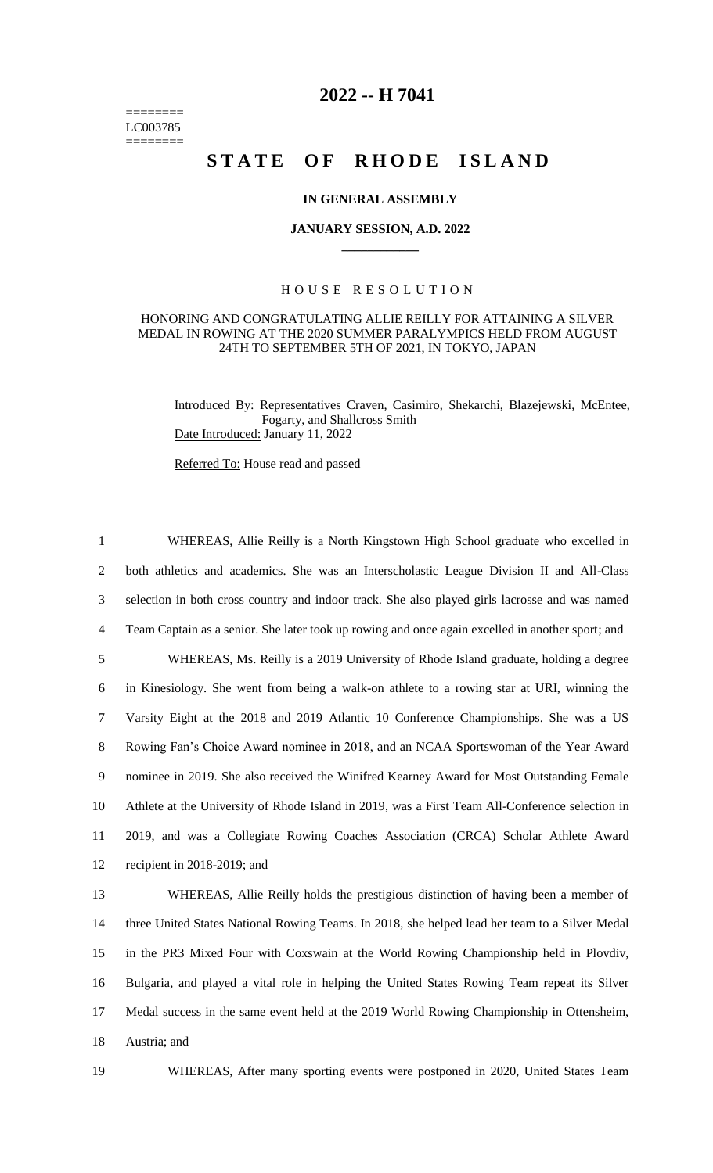======== LC003785 ========

## **2022 -- H 7041**

# **STATE OF RHODE ISLAND**

#### **IN GENERAL ASSEMBLY**

#### **JANUARY SESSION, A.D. 2022 \_\_\_\_\_\_\_\_\_\_\_\_**

### H O U S E R E S O L U T I O N

#### HONORING AND CONGRATULATING ALLIE REILLY FOR ATTAINING A SILVER MEDAL IN ROWING AT THE 2020 SUMMER PARALYMPICS HELD FROM AUGUST 24TH TO SEPTEMBER 5TH OF 2021, IN TOKYO, JAPAN

Introduced By: Representatives Craven, Casimiro, Shekarchi, Blazejewski, McEntee, Fogarty, and Shallcross Smith Date Introduced: January 11, 2022

Referred To: House read and passed

 WHEREAS, Allie Reilly is a North Kingstown High School graduate who excelled in both athletics and academics. She was an Interscholastic League Division II and All-Class selection in both cross country and indoor track. She also played girls lacrosse and was named Team Captain as a senior. She later took up rowing and once again excelled in another sport; and WHEREAS, Ms. Reilly is a 2019 University of Rhode Island graduate, holding a degree in Kinesiology. She went from being a walk-on athlete to a rowing star at URI, winning the Varsity Eight at the 2018 and 2019 Atlantic 10 Conference Championships. She was a US Rowing Fan's Choice Award nominee in 2018, and an NCAA Sportswoman of the Year Award nominee in 2019. She also received the Winifred Kearney Award for Most Outstanding Female Athlete at the University of Rhode Island in 2019, was a First Team All-Conference selection in 2019, and was a Collegiate Rowing Coaches Association (CRCA) Scholar Athlete Award recipient in 2018-2019; and WHEREAS, Allie Reilly holds the prestigious distinction of having been a member of three United States National Rowing Teams. In 2018, she helped lead her team to a Silver Medal in the PR3 Mixed Four with Coxswain at the World Rowing Championship held in Plovdiv, Bulgaria, and played a vital role in helping the United States Rowing Team repeat its Silver

17 Medal success in the same event held at the 2019 World Rowing Championship in Ottensheim, 18 Austria; and

19 WHEREAS, After many sporting events were postponed in 2020, United States Team